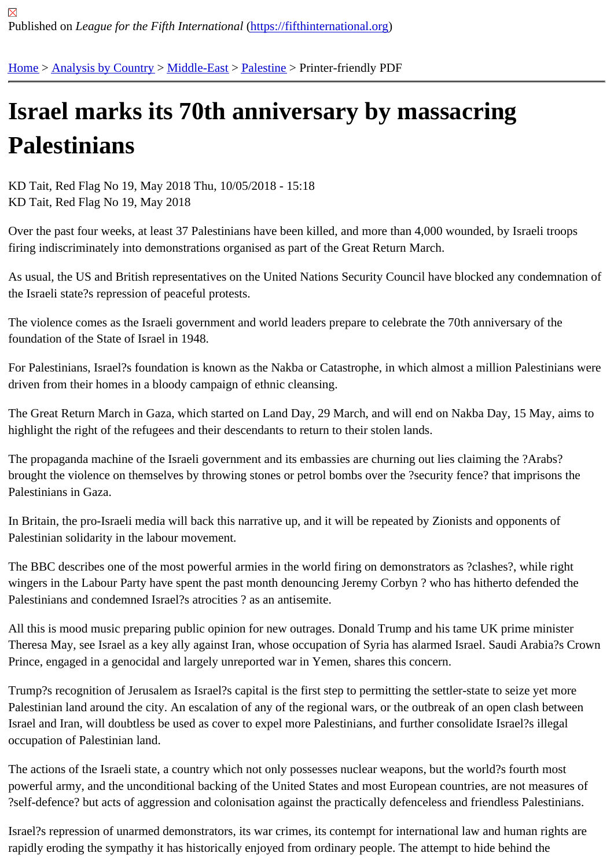## [Isra](https://fifthinternational.org/)[el marks i](https://fifthinternational.org/category/1)t[s 70th](https://fifthinternational.org/category/1/178) [anniv](https://fifthinternational.org/category/1/178/192)ersary by massacring **Palestinians**

KD Tait, Red Flag No 19, May 2018 Thu, 10/05/2018 - 15:18 KD Tait, Red Flag No 19, May 2018

Over the past four weeks, at least 37 Palestinians have been killed, and more than 4,000 wounded, by Israeli troop firing indiscriminately into demonstrations organised as part of the Great Return March.

As usual, the US and British representatives on the United Nations Security Council have blocked any condemnat the Israeli state?s repression of peaceful protests.

The violence comes as the Israeli government and world leaders prepare to celebrate the 70th anniversary of the foundation of the State of Israel in 1948.

For Palestinians, Israel?s foundation is known as the Nakba or Catastrophe, in which almost a million Palestinians driven from their homes in a bloody campaign of ethnic cleansing.

The Great Return March in Gaza, which started on Land Day, 29 March, and will end on Nakba Day, 15 May, aims highlight the right of the refugees and their descendants to return to their stolen lands.

The propaganda machine of the Israeli government and its embassies are churning out lies claiming the ?Arabs? brought the violence on themselves by throwing stones or petrol bombs over the ?security fence? that imprisons th Palestinians in Gaza.

In Britain, the pro-Israeli media will back this narrative up, and it will be repeated by Zionists and opponents of Palestinian solidarity in the labour movement.

The BBC describes one of the most powerful armies in the world firing on demonstrators as ?clashes?, while right wingers in the Labour Party have spent the past month denouncing Jeremy Corbyn? who has hitherto defended the Palestinians and condemned Israel?s atrocities ? as an antisemite.

All this is mood music preparing public opinion for new outrages. Donald Trump and his tame UK prime minister Theresa May, see Israel as a key ally against Iran, whose occupation of Syria has alarmed Israel. Saudi Arabia?s Prince, engaged in a genocidal and largely unreported war in Yemen, shares this concern.

Trump?s recognition of Jerusalem as Israel?s capital is the first step to permitting the settler-state to seize yet more Palestinian land around the city. An escalation of any of the regional wars, or the outbreak of an open clash betwe Israel and Iran, will doubtless be used as cover to expel more Palestinians, and further consolidate Israel?s illegal occupation of Palestinian land.

The actions of the Israeli state, a country which not only possesses nuclear weapons, but the world?s fourth most powerful army, and the unconditional backing of the United States and most European countries, are not measure ?self-defence? but acts of aggression and colonisation against the practically defenceless and friendless Palestinia

Israel?s repression of unarmed demonstrators, its war crimes, its contempt for international law and human rights rapidly eroding the sympathy it has historically enjoyed from ordinary people. The attempt to hide behind the